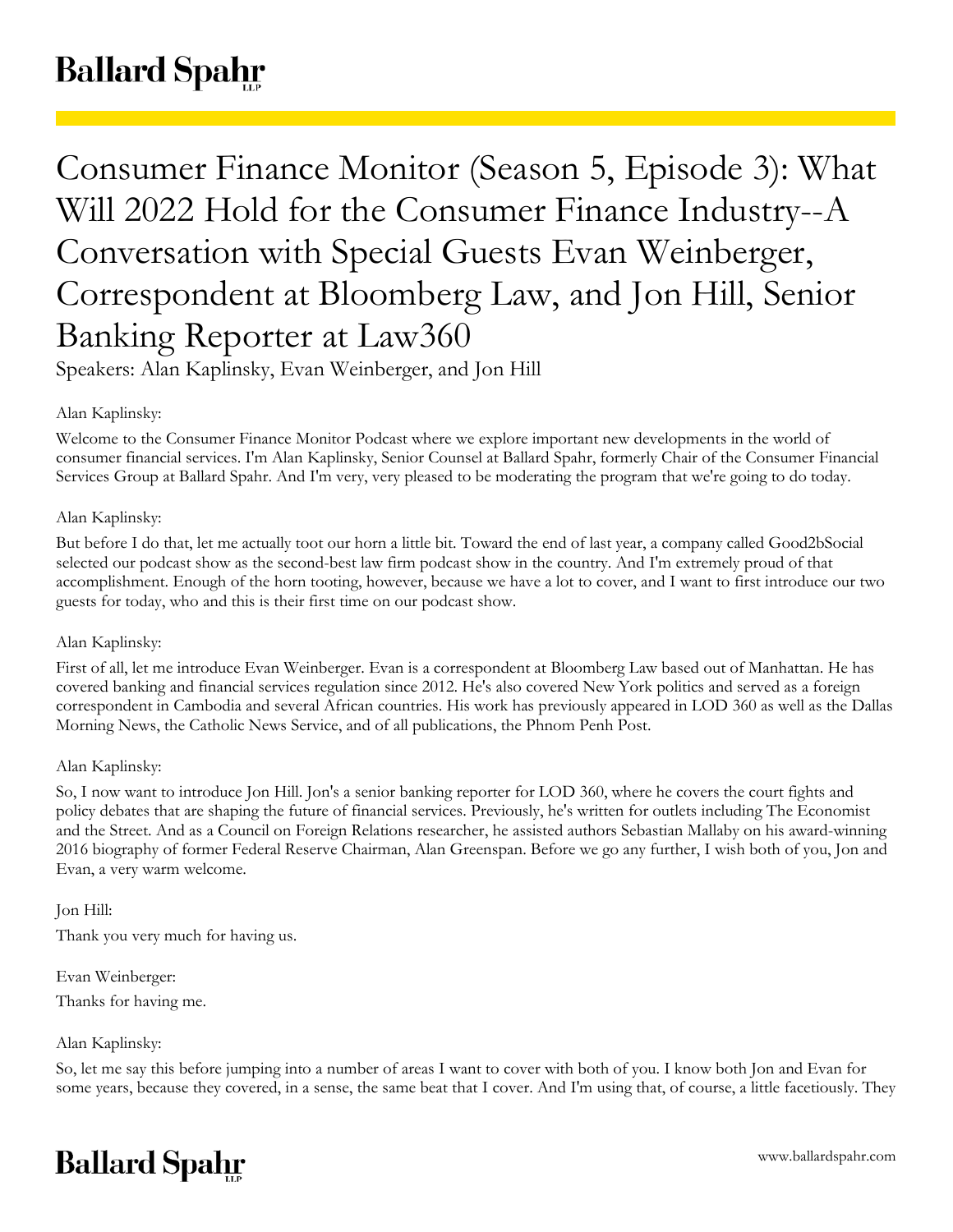# **Ballard Spahr**

Consumer Finance Monitor (Season 5, Episode 3): What Will 2022 Hold for the Consumer Finance Industry--A Conversation with Special Guests Evan Weinberger, Correspondent at Bloomberg Law, and Jon Hill, Senior Banking Reporter at Law360

Speakers: Alan Kaplinsky, Evan Weinberger, and Jon Hill

# Alan Kaplinsky:

Welcome to the Consumer Finance Monitor Podcast where we explore important new developments in the world of consumer financial services. I'm Alan Kaplinsky, Senior Counsel at Ballard Spahr, formerly Chair of the Consumer Financial Services Group at Ballard Spahr. And I'm very, very pleased to be moderating the program that we're going to do today.

# Alan Kaplinsky:

But before I do that, let me actually toot our horn a little bit. Toward the end of last year, a company called Good2bSocial selected our podcast show as the second-best law firm podcast show in the country. And I'm extremely proud of that accomplishment. Enough of the horn tooting, however, because we have a lot to cover, and I want to first introduce our two guests for today, who and this is their first time on our podcast show.

## Alan Kaplinsky:

First of all, let me introduce Evan Weinberger. Evan is a correspondent at Bloomberg Law based out of Manhattan. He has covered banking and financial services regulation since 2012. He's also covered New York politics and served as a foreign correspondent in Cambodia and several African countries. His work has previously appeared in LOD 360 as well as the Dallas Morning News, the Catholic News Service, and of all publications, the Phnom Penh Post.

## Alan Kaplinsky:

So, I now want to introduce Jon Hill. Jon's a senior banking reporter for LOD 360, where he covers the court fights and policy debates that are shaping the future of financial services. Previously, he's written for outlets including The Economist and the Street. And as a Council on Foreign Relations researcher, he assisted authors Sebastian Mallaby on his award-winning 2016 biography of former Federal Reserve Chairman, Alan Greenspan. Before we go any further, I wish both of you, Jon and Evan, a very warm welcome.

## Jon Hill:

Thank you very much for having us.

Evan Weinberger: Thanks for having me.

Alan Kaplinsky:

So, let me say this before jumping into a number of areas I want to cover with both of you. I know both Jon and Evan for some years, because they covered, in a sense, the same beat that I cover. And I'm using that, of course, a little facetiously. They

# **Ballard Spahr**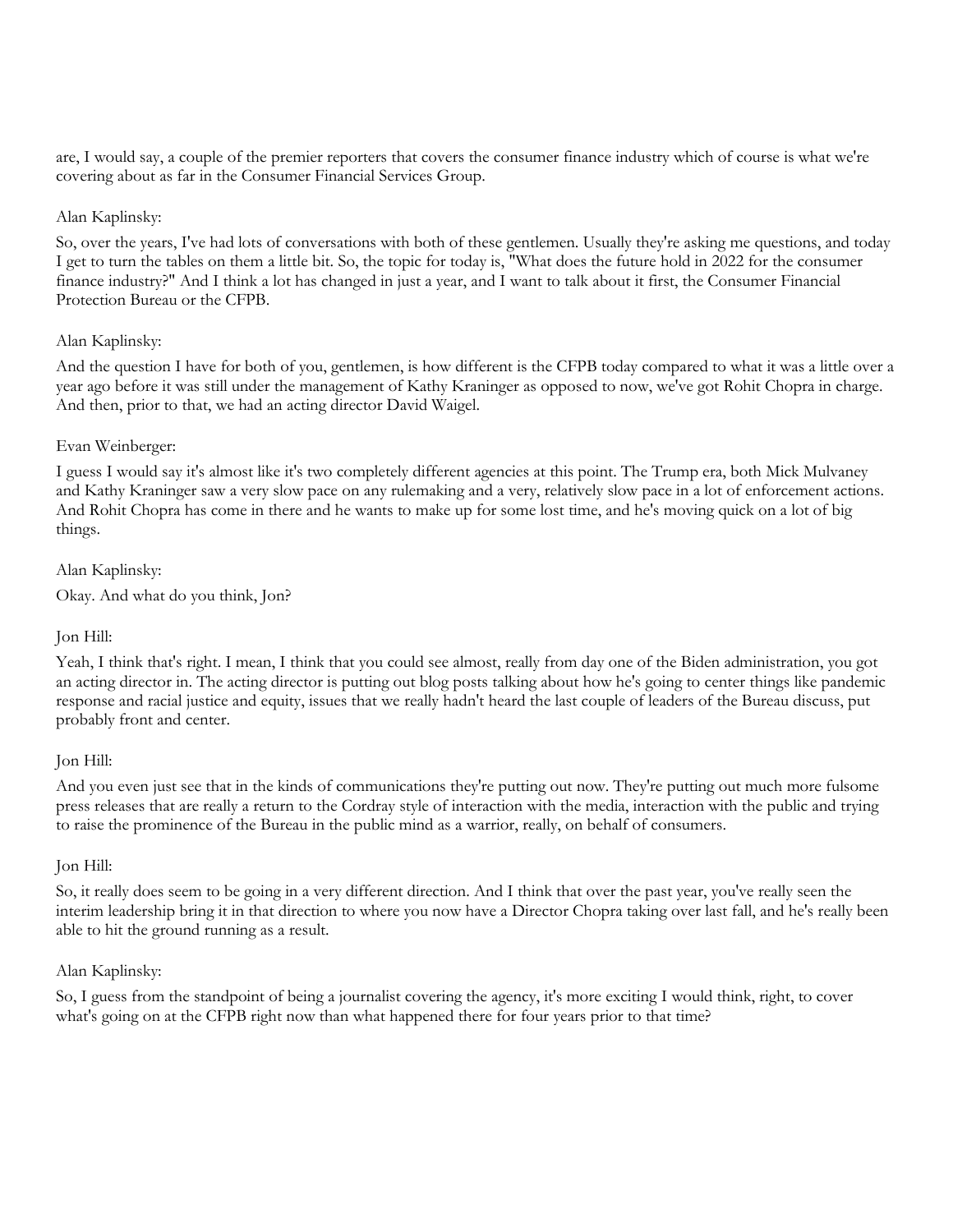are, I would say, a couple of the premier reporters that covers the consumer finance industry which of course is what we're covering about as far in the Consumer Financial Services Group.

## Alan Kaplinsky:

So, over the years, I've had lots of conversations with both of these gentlemen. Usually they're asking me questions, and today I get to turn the tables on them a little bit. So, the topic for today is, "What does the future hold in 2022 for the consumer finance industry?" And I think a lot has changed in just a year, and I want to talk about it first, the Consumer Financial Protection Bureau or the CFPB.

## Alan Kaplinsky:

And the question I have for both of you, gentlemen, is how different is the CFPB today compared to what it was a little over a year ago before it was still under the management of Kathy Kraninger as opposed to now, we've got Rohit Chopra in charge. And then, prior to that, we had an acting director David Waigel.

## Evan Weinberger:

I guess I would say it's almost like it's two completely different agencies at this point. The Trump era, both Mick Mulvaney and Kathy Kraninger saw a very slow pace on any rulemaking and a very, relatively slow pace in a lot of enforcement actions. And Rohit Chopra has come in there and he wants to make up for some lost time, and he's moving quick on a lot of big things.

Alan Kaplinsky:

Okay. And what do you think, Jon?

## Jon Hill:

Yeah, I think that's right. I mean, I think that you could see almost, really from day one of the Biden administration, you got an acting director in. The acting director is putting out blog posts talking about how he's going to center things like pandemic response and racial justice and equity, issues that we really hadn't heard the last couple of leaders of the Bureau discuss, put probably front and center.

#### Jon Hill:

And you even just see that in the kinds of communications they're putting out now. They're putting out much more fulsome press releases that are really a return to the Cordray style of interaction with the media, interaction with the public and trying to raise the prominence of the Bureau in the public mind as a warrior, really, on behalf of consumers.

#### Jon Hill:

So, it really does seem to be going in a very different direction. And I think that over the past year, you've really seen the interim leadership bring it in that direction to where you now have a Director Chopra taking over last fall, and he's really been able to hit the ground running as a result.

#### Alan Kaplinsky:

So, I guess from the standpoint of being a journalist covering the agency, it's more exciting I would think, right, to cover what's going on at the CFPB right now than what happened there for four years prior to that time?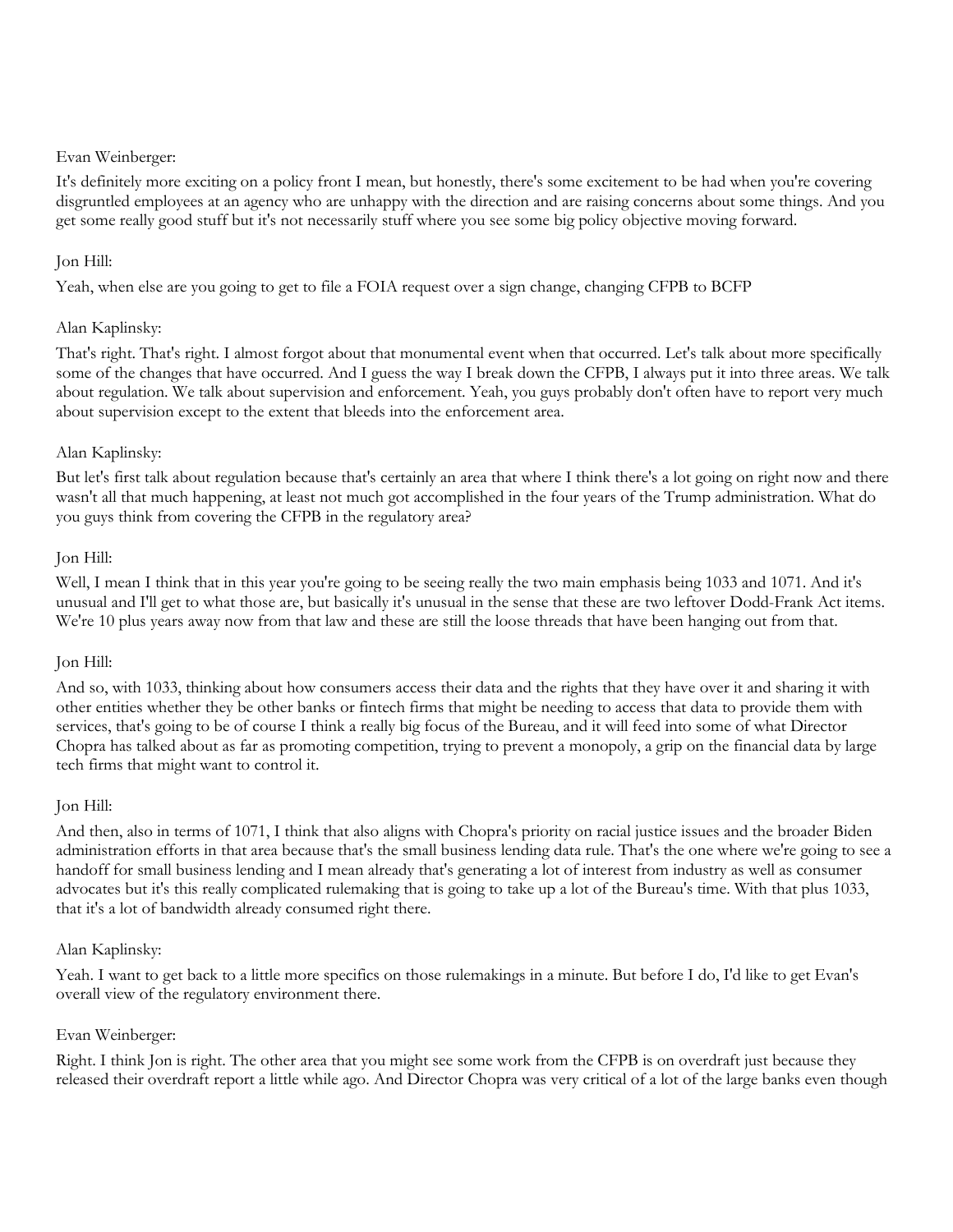It's definitely more exciting on a policy front I mean, but honestly, there's some excitement to be had when you're covering disgruntled employees at an agency who are unhappy with the direction and are raising concerns about some things. And you get some really good stuff but it's not necessarily stuff where you see some big policy objective moving forward.

## Jon Hill:

Yeah, when else are you going to get to file a FOIA request over a sign change, changing CFPB to BCFP

# Alan Kaplinsky:

That's right. That's right. I almost forgot about that monumental event when that occurred. Let's talk about more specifically some of the changes that have occurred. And I guess the way I break down the CFPB, I always put it into three areas. We talk about regulation. We talk about supervision and enforcement. Yeah, you guys probably don't often have to report very much about supervision except to the extent that bleeds into the enforcement area.

## Alan Kaplinsky:

But let's first talk about regulation because that's certainly an area that where I think there's a lot going on right now and there wasn't all that much happening, at least not much got accomplished in the four years of the Trump administration. What do you guys think from covering the CFPB in the regulatory area?

## Jon Hill:

Well, I mean I think that in this year you're going to be seeing really the two main emphasis being 1033 and 1071. And it's unusual and I'll get to what those are, but basically it's unusual in the sense that these are two leftover Dodd-Frank Act items. We're 10 plus years away now from that law and these are still the loose threads that have been hanging out from that.

## Jon Hill:

And so, with 1033, thinking about how consumers access their data and the rights that they have over it and sharing it with other entities whether they be other banks or fintech firms that might be needing to access that data to provide them with services, that's going to be of course I think a really big focus of the Bureau, and it will feed into some of what Director Chopra has talked about as far as promoting competition, trying to prevent a monopoly, a grip on the financial data by large tech firms that might want to control it.

## Jon Hill:

And then, also in terms of 1071, I think that also aligns with Chopra's priority on racial justice issues and the broader Biden administration efforts in that area because that's the small business lending data rule. That's the one where we're going to see a handoff for small business lending and I mean already that's generating a lot of interest from industry as well as consumer advocates but it's this really complicated rulemaking that is going to take up a lot of the Bureau's time. With that plus 1033, that it's a lot of bandwidth already consumed right there.

## Alan Kaplinsky:

Yeah. I want to get back to a little more specifics on those rulemakings in a minute. But before I do, I'd like to get Evan's overall view of the regulatory environment there.

## Evan Weinberger:

Right. I think Jon is right. The other area that you might see some work from the CFPB is on overdraft just because they released their overdraft report a little while ago. And Director Chopra was very critical of a lot of the large banks even though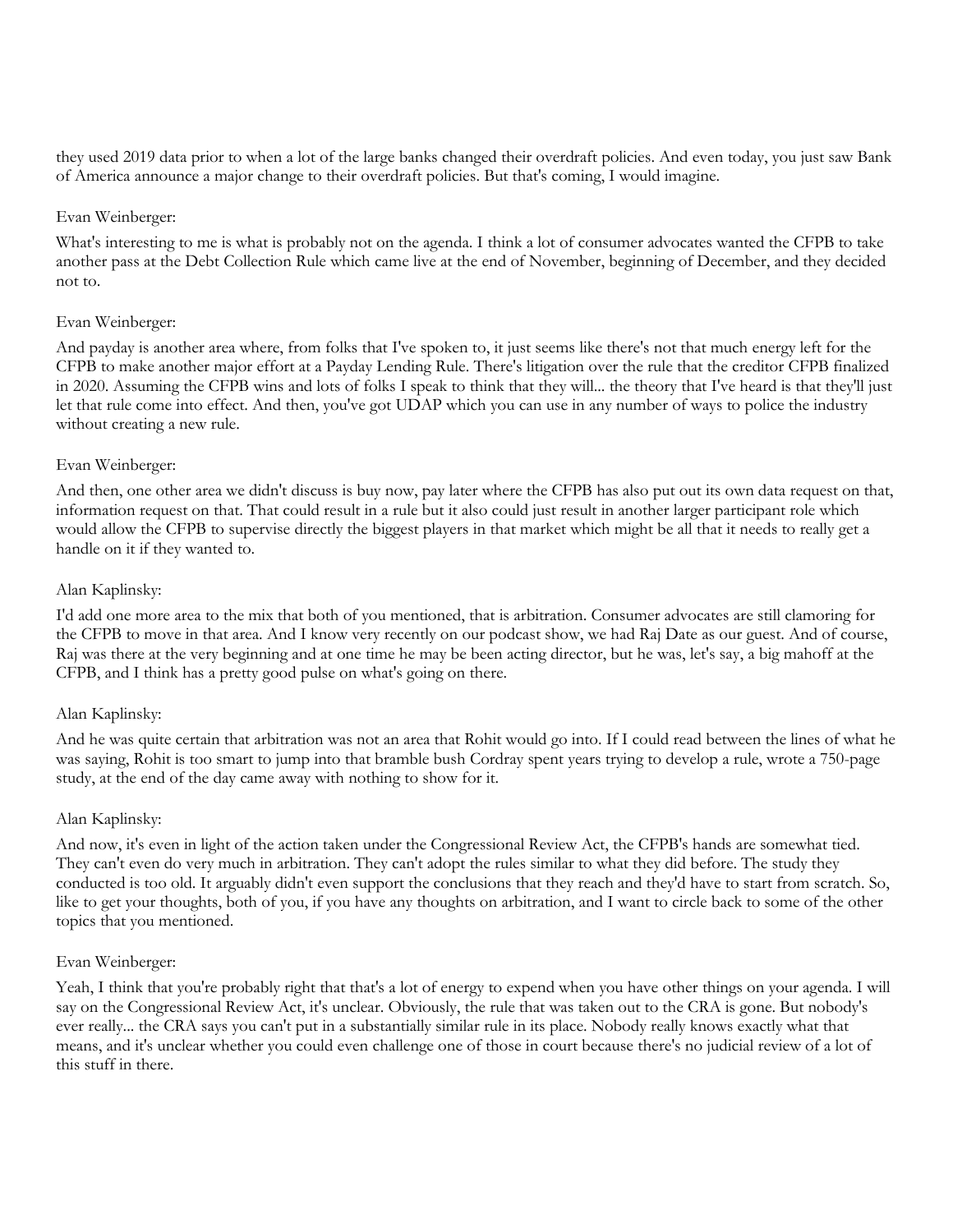they used 2019 data prior to when a lot of the large banks changed their overdraft policies. And even today, you just saw Bank of America announce a major change to their overdraft policies. But that's coming, I would imagine.

## Evan Weinberger:

What's interesting to me is what is probably not on the agenda. I think a lot of consumer advocates wanted the CFPB to take another pass at the Debt Collection Rule which came live at the end of November, beginning of December, and they decided not to.

## Evan Weinberger:

And payday is another area where, from folks that I've spoken to, it just seems like there's not that much energy left for the CFPB to make another major effort at a Payday Lending Rule. There's litigation over the rule that the creditor CFPB finalized in 2020. Assuming the CFPB wins and lots of folks I speak to think that they will... the theory that I've heard is that they'll just let that rule come into effect. And then, you've got UDAP which you can use in any number of ways to police the industry without creating a new rule.

## Evan Weinberger:

And then, one other area we didn't discuss is buy now, pay later where the CFPB has also put out its own data request on that, information request on that. That could result in a rule but it also could just result in another larger participant role which would allow the CFPB to supervise directly the biggest players in that market which might be all that it needs to really get a handle on it if they wanted to.

## Alan Kaplinsky:

I'd add one more area to the mix that both of you mentioned, that is arbitration. Consumer advocates are still clamoring for the CFPB to move in that area. And I know very recently on our podcast show, we had Raj Date as our guest. And of course, Raj was there at the very beginning and at one time he may be been acting director, but he was, let's say, a big mahoff at the CFPB, and I think has a pretty good pulse on what's going on there.

## Alan Kaplinsky:

And he was quite certain that arbitration was not an area that Rohit would go into. If I could read between the lines of what he was saying, Rohit is too smart to jump into that bramble bush Cordray spent years trying to develop a rule, wrote a 750-page study, at the end of the day came away with nothing to show for it.

#### Alan Kaplinsky:

And now, it's even in light of the action taken under the Congressional Review Act, the CFPB's hands are somewhat tied. They can't even do very much in arbitration. They can't adopt the rules similar to what they did before. The study they conducted is too old. It arguably didn't even support the conclusions that they reach and they'd have to start from scratch. So, like to get your thoughts, both of you, if you have any thoughts on arbitration, and I want to circle back to some of the other topics that you mentioned.

#### Evan Weinberger:

Yeah, I think that you're probably right that that's a lot of energy to expend when you have other things on your agenda. I will say on the Congressional Review Act, it's unclear. Obviously, the rule that was taken out to the CRA is gone. But nobody's ever really... the CRA says you can't put in a substantially similar rule in its place. Nobody really knows exactly what that means, and it's unclear whether you could even challenge one of those in court because there's no judicial review of a lot of this stuff in there.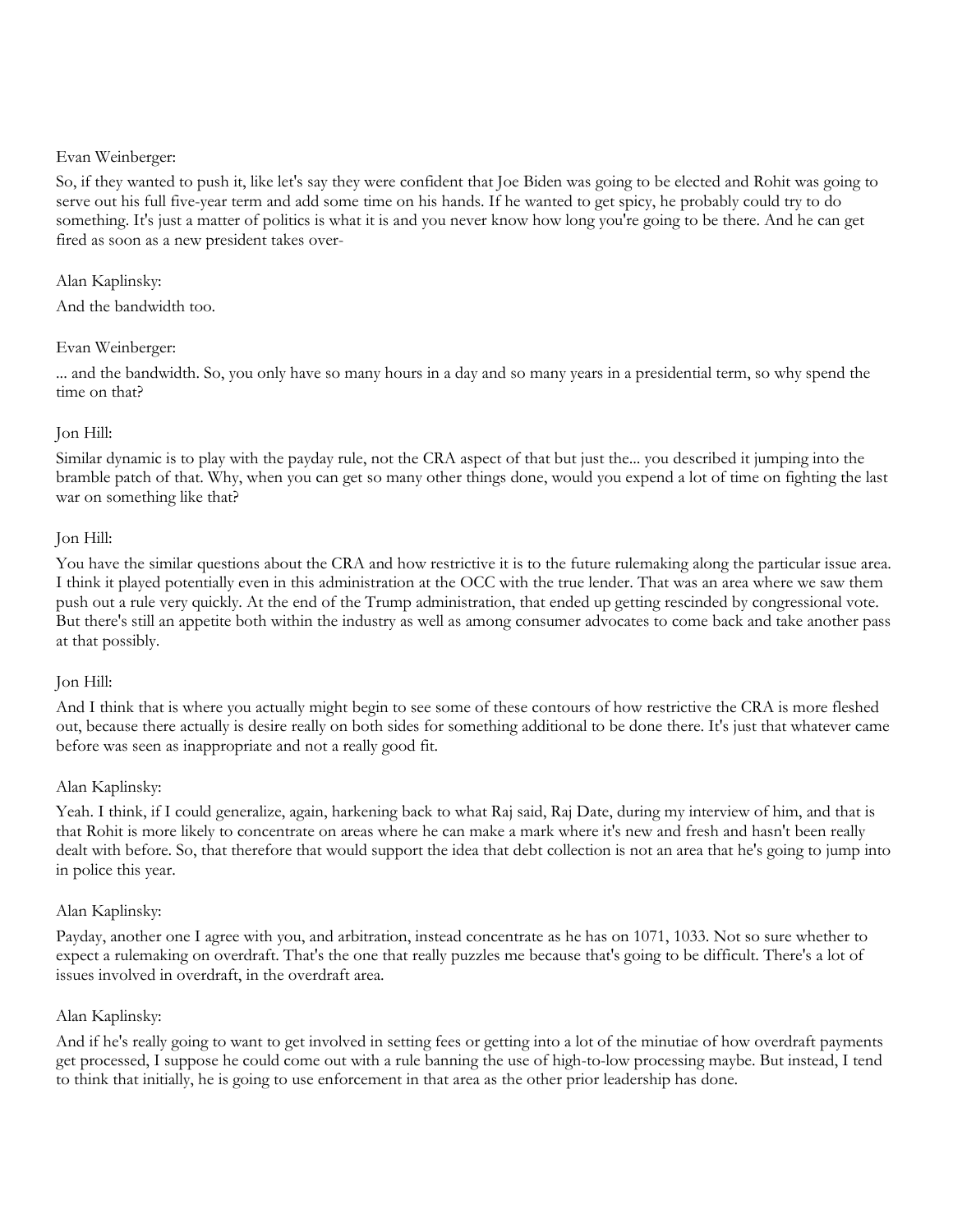So, if they wanted to push it, like let's say they were confident that Joe Biden was going to be elected and Rohit was going to serve out his full five-year term and add some time on his hands. If he wanted to get spicy, he probably could try to do something. It's just a matter of politics is what it is and you never know how long you're going to be there. And he can get fired as soon as a new president takes over-

## Alan Kaplinsky:

And the bandwidth too.

## Evan Weinberger:

... and the bandwidth. So, you only have so many hours in a day and so many years in a presidential term, so why spend the time on that?

## Jon Hill:

Similar dynamic is to play with the payday rule, not the CRA aspect of that but just the... you described it jumping into the bramble patch of that. Why, when you can get so many other things done, would you expend a lot of time on fighting the last war on something like that?

## Jon Hill:

You have the similar questions about the CRA and how restrictive it is to the future rulemaking along the particular issue area. I think it played potentially even in this administration at the OCC with the true lender. That was an area where we saw them push out a rule very quickly. At the end of the Trump administration, that ended up getting rescinded by congressional vote. But there's still an appetite both within the industry as well as among consumer advocates to come back and take another pass at that possibly.

## Jon Hill:

And I think that is where you actually might begin to see some of these contours of how restrictive the CRA is more fleshed out, because there actually is desire really on both sides for something additional to be done there. It's just that whatever came before was seen as inappropriate and not a really good fit.

## Alan Kaplinsky:

Yeah. I think, if I could generalize, again, harkening back to what Raj said, Raj Date, during my interview of him, and that is that Rohit is more likely to concentrate on areas where he can make a mark where it's new and fresh and hasn't been really dealt with before. So, that therefore that would support the idea that debt collection is not an area that he's going to jump into in police this year.

## Alan Kaplinsky:

Payday, another one I agree with you, and arbitration, instead concentrate as he has on 1071, 1033. Not so sure whether to expect a rulemaking on overdraft. That's the one that really puzzles me because that's going to be difficult. There's a lot of issues involved in overdraft, in the overdraft area.

## Alan Kaplinsky:

And if he's really going to want to get involved in setting fees or getting into a lot of the minutiae of how overdraft payments get processed, I suppose he could come out with a rule banning the use of high-to-low processing maybe. But instead, I tend to think that initially, he is going to use enforcement in that area as the other prior leadership has done.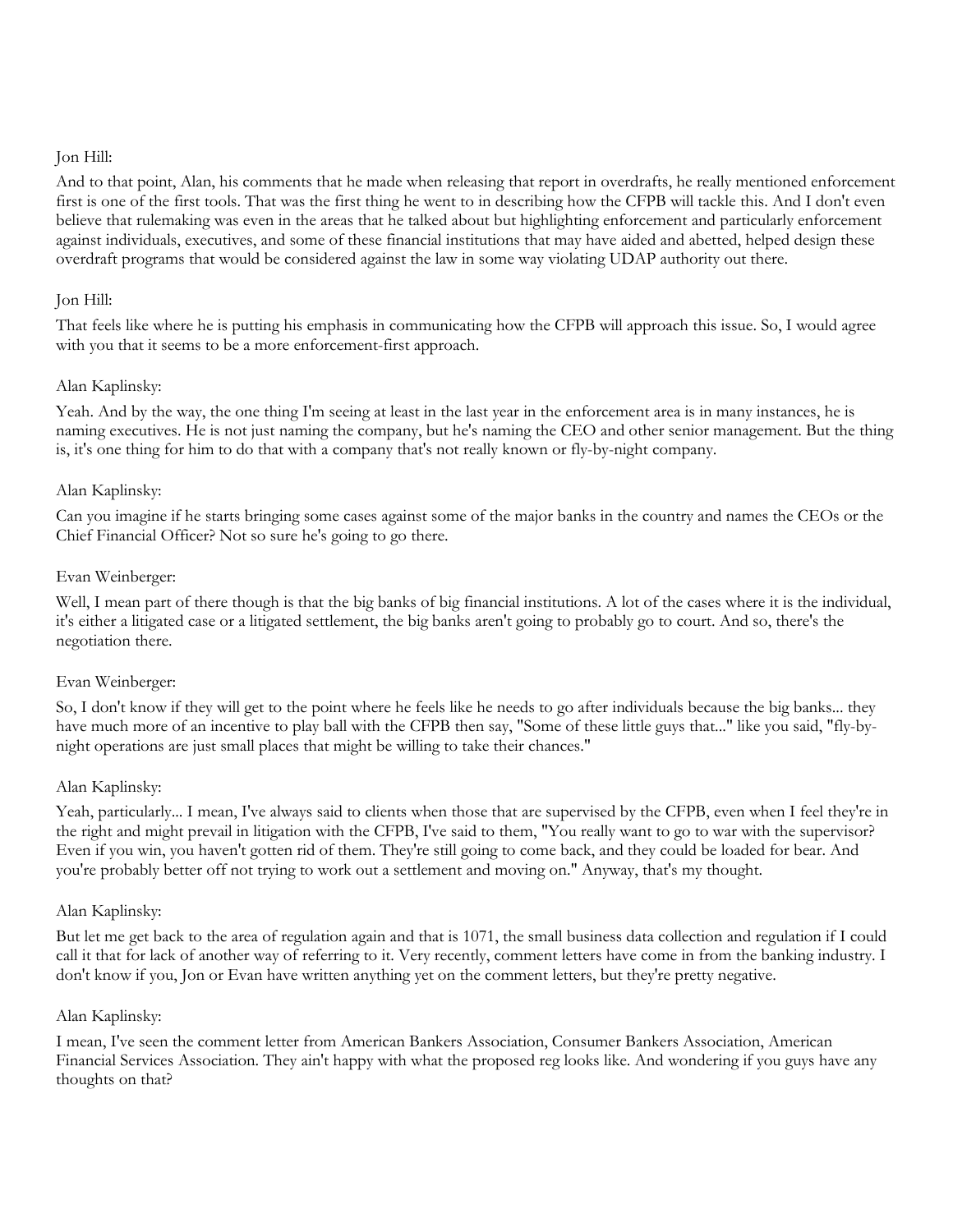And to that point, Alan, his comments that he made when releasing that report in overdrafts, he really mentioned enforcement first is one of the first tools. That was the first thing he went to in describing how the CFPB will tackle this. And I don't even believe that rulemaking was even in the areas that he talked about but highlighting enforcement and particularly enforcement against individuals, executives, and some of these financial institutions that may have aided and abetted, helped design these overdraft programs that would be considered against the law in some way violating UDAP authority out there.

## Jon Hill:

That feels like where he is putting his emphasis in communicating how the CFPB will approach this issue. So, I would agree with you that it seems to be a more enforcement-first approach.

## Alan Kaplinsky:

Yeah. And by the way, the one thing I'm seeing at least in the last year in the enforcement area is in many instances, he is naming executives. He is not just naming the company, but he's naming the CEO and other senior management. But the thing is, it's one thing for him to do that with a company that's not really known or fly-by-night company.

## Alan Kaplinsky:

Can you imagine if he starts bringing some cases against some of the major banks in the country and names the CEOs or the Chief Financial Officer? Not so sure he's going to go there.

## Evan Weinberger:

Well, I mean part of there though is that the big banks of big financial institutions. A lot of the cases where it is the individual, it's either a litigated case or a litigated settlement, the big banks aren't going to probably go to court. And so, there's the negotiation there.

## Evan Weinberger:

So, I don't know if they will get to the point where he feels like he needs to go after individuals because the big banks... they have much more of an incentive to play ball with the CFPB then say, "Some of these little guys that..." like you said, "fly-bynight operations are just small places that might be willing to take their chances."

## Alan Kaplinsky:

Yeah, particularly... I mean, I've always said to clients when those that are supervised by the CFPB, even when I feel they're in the right and might prevail in litigation with the CFPB, I've said to them, "You really want to go to war with the supervisor? Even if you win, you haven't gotten rid of them. They're still going to come back, and they could be loaded for bear. And you're probably better off not trying to work out a settlement and moving on." Anyway, that's my thought.

#### Alan Kaplinsky:

But let me get back to the area of regulation again and that is 1071, the small business data collection and regulation if I could call it that for lack of another way of referring to it. Very recently, comment letters have come in from the banking industry. I don't know if you, Jon or Evan have written anything yet on the comment letters, but they're pretty negative.

#### Alan Kaplinsky:

I mean, I've seen the comment letter from American Bankers Association, Consumer Bankers Association, American Financial Services Association. They ain't happy with what the proposed reg looks like. And wondering if you guys have any thoughts on that?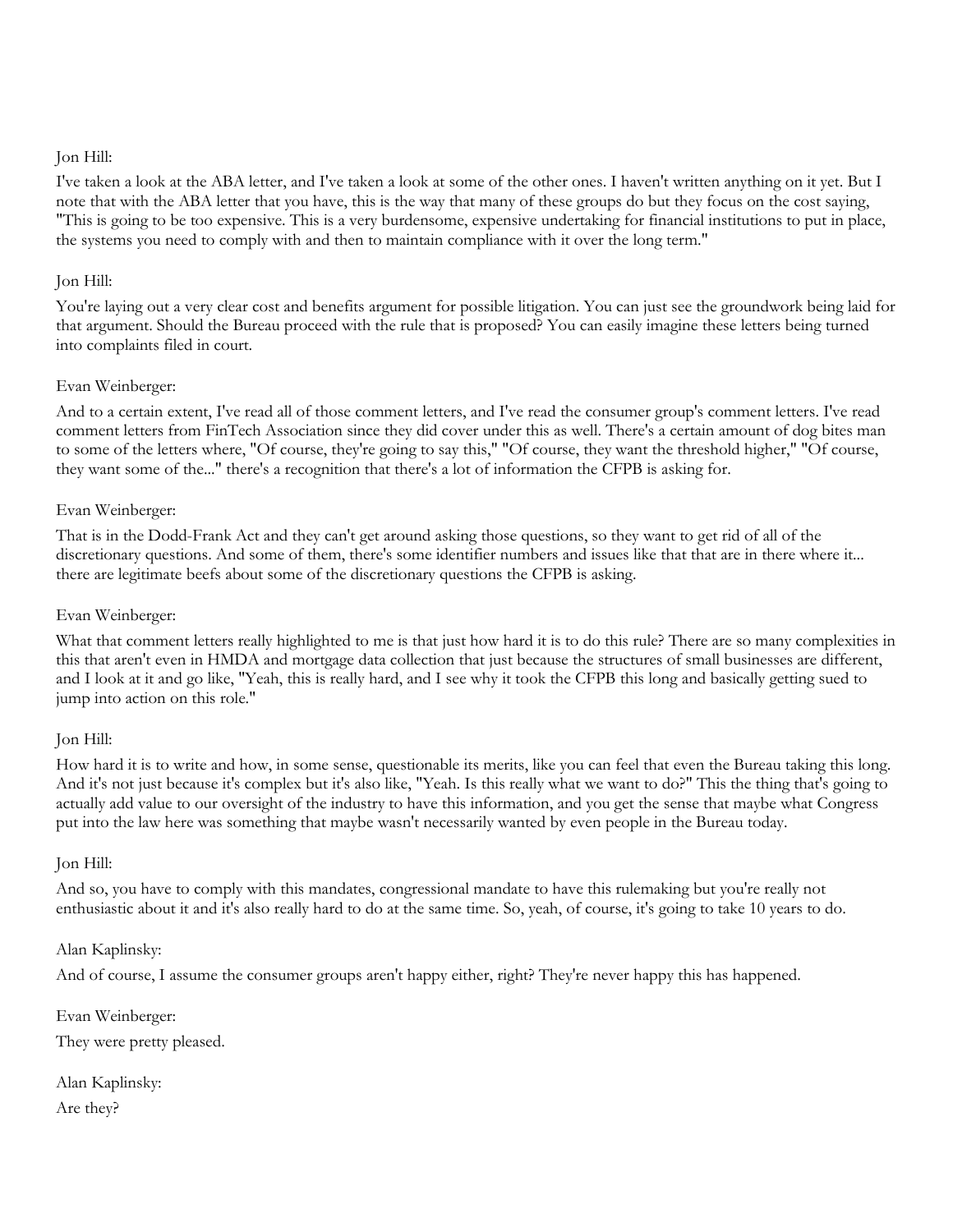I've taken a look at the ABA letter, and I've taken a look at some of the other ones. I haven't written anything on it yet. But I note that with the ABA letter that you have, this is the way that many of these groups do but they focus on the cost saying, "This is going to be too expensive. This is a very burdensome, expensive undertaking for financial institutions to put in place, the systems you need to comply with and then to maintain compliance with it over the long term."

## Jon Hill:

You're laying out a very clear cost and benefits argument for possible litigation. You can just see the groundwork being laid for that argument. Should the Bureau proceed with the rule that is proposed? You can easily imagine these letters being turned into complaints filed in court.

## Evan Weinberger:

And to a certain extent, I've read all of those comment letters, and I've read the consumer group's comment letters. I've read comment letters from FinTech Association since they did cover under this as well. There's a certain amount of dog bites man to some of the letters where, "Of course, they're going to say this," "Of course, they want the threshold higher," "Of course, they want some of the..." there's a recognition that there's a lot of information the CFPB is asking for.

## Evan Weinberger:

That is in the Dodd-Frank Act and they can't get around asking those questions, so they want to get rid of all of the discretionary questions. And some of them, there's some identifier numbers and issues like that that are in there where it... there are legitimate beefs about some of the discretionary questions the CFPB is asking.

## Evan Weinberger:

What that comment letters really highlighted to me is that just how hard it is to do this rule? There are so many complexities in this that aren't even in HMDA and mortgage data collection that just because the structures of small businesses are different, and I look at it and go like, "Yeah, this is really hard, and I see why it took the CFPB this long and basically getting sued to jump into action on this role."

#### Jon Hill:

How hard it is to write and how, in some sense, questionable its merits, like you can feel that even the Bureau taking this long. And it's not just because it's complex but it's also like, "Yeah. Is this really what we want to do?" This the thing that's going to actually add value to our oversight of the industry to have this information, and you get the sense that maybe what Congress put into the law here was something that maybe wasn't necessarily wanted by even people in the Bureau today.

#### Jon Hill:

And so, you have to comply with this mandates, congressional mandate to have this rulemaking but you're really not enthusiastic about it and it's also really hard to do at the same time. So, yeah, of course, it's going to take 10 years to do.

## Alan Kaplinsky:

And of course, I assume the consumer groups aren't happy either, right? They're never happy this has happened.

Evan Weinberger:

They were pretty pleased.

Alan Kaplinsky: Are they?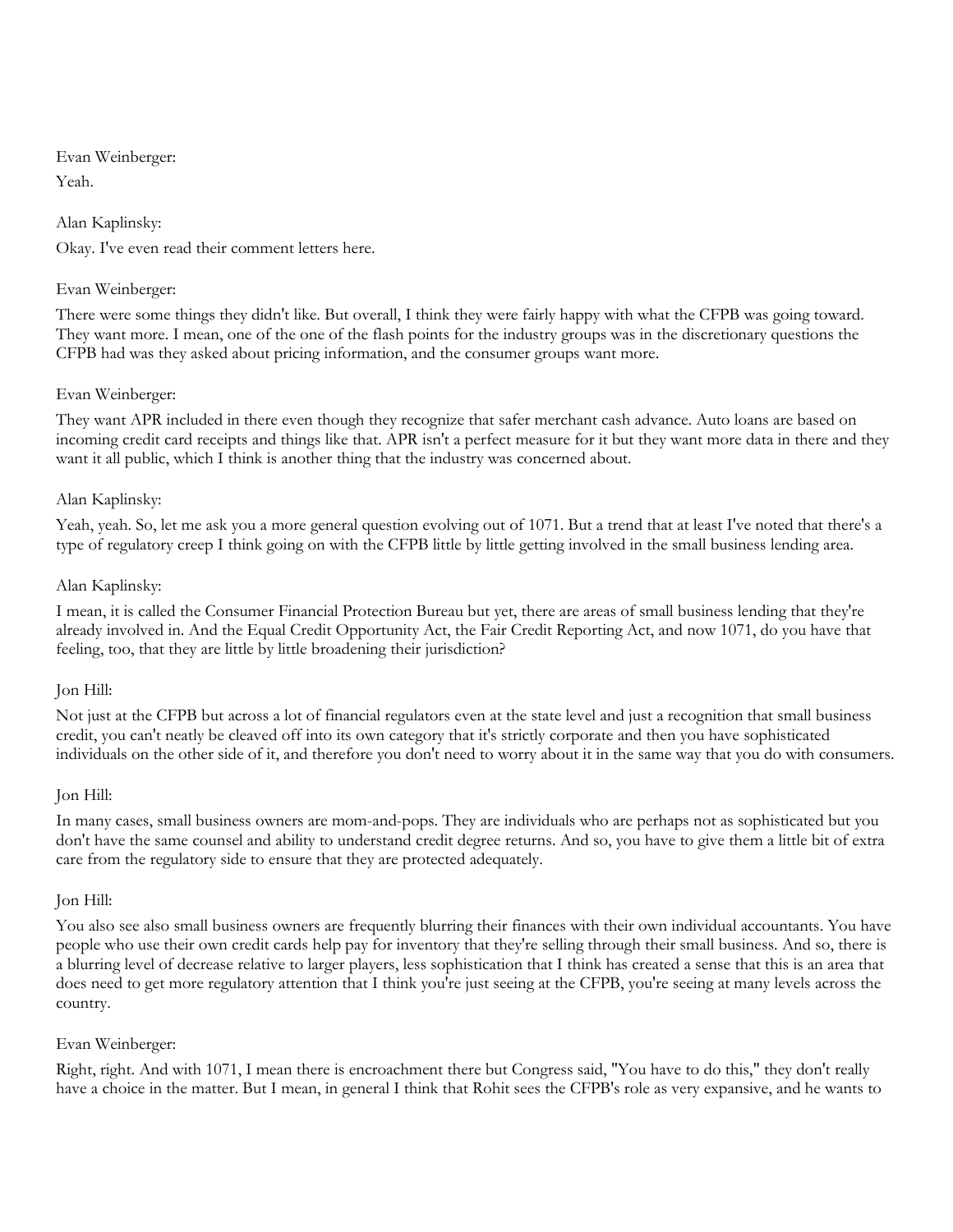Evan Weinberger: Yeah.

Alan Kaplinsky:

Okay. I've even read their comment letters here.

# Evan Weinberger:

There were some things they didn't like. But overall, I think they were fairly happy with what the CFPB was going toward. They want more. I mean, one of the one of the flash points for the industry groups was in the discretionary questions the CFPB had was they asked about pricing information, and the consumer groups want more.

# Evan Weinberger:

They want APR included in there even though they recognize that safer merchant cash advance. Auto loans are based on incoming credit card receipts and things like that. APR isn't a perfect measure for it but they want more data in there and they want it all public, which I think is another thing that the industry was concerned about.

# Alan Kaplinsky:

Yeah, yeah. So, let me ask you a more general question evolving out of 1071. But a trend that at least I've noted that there's a type of regulatory creep I think going on with the CFPB little by little getting involved in the small business lending area.

# Alan Kaplinsky:

I mean, it is called the Consumer Financial Protection Bureau but yet, there are areas of small business lending that they're already involved in. And the Equal Credit Opportunity Act, the Fair Credit Reporting Act, and now 1071, do you have that feeling, too, that they are little by little broadening their jurisdiction?

## Jon Hill:

Not just at the CFPB but across a lot of financial regulators even at the state level and just a recognition that small business credit, you can't neatly be cleaved off into its own category that it's strictly corporate and then you have sophisticated individuals on the other side of it, and therefore you don't need to worry about it in the same way that you do with consumers.

## Jon Hill:

In many cases, small business owners are mom-and-pops. They are individuals who are perhaps not as sophisticated but you don't have the same counsel and ability to understand credit degree returns. And so, you have to give them a little bit of extra care from the regulatory side to ensure that they are protected adequately.

## Jon Hill:

You also see also small business owners are frequently blurring their finances with their own individual accountants. You have people who use their own credit cards help pay for inventory that they're selling through their small business. And so, there is a blurring level of decrease relative to larger players, less sophistication that I think has created a sense that this is an area that does need to get more regulatory attention that I think you're just seeing at the CFPB, you're seeing at many levels across the country.

## Evan Weinberger:

Right, right. And with 1071, I mean there is encroachment there but Congress said, "You have to do this," they don't really have a choice in the matter. But I mean, in general I think that Rohit sees the CFPB's role as very expansive, and he wants to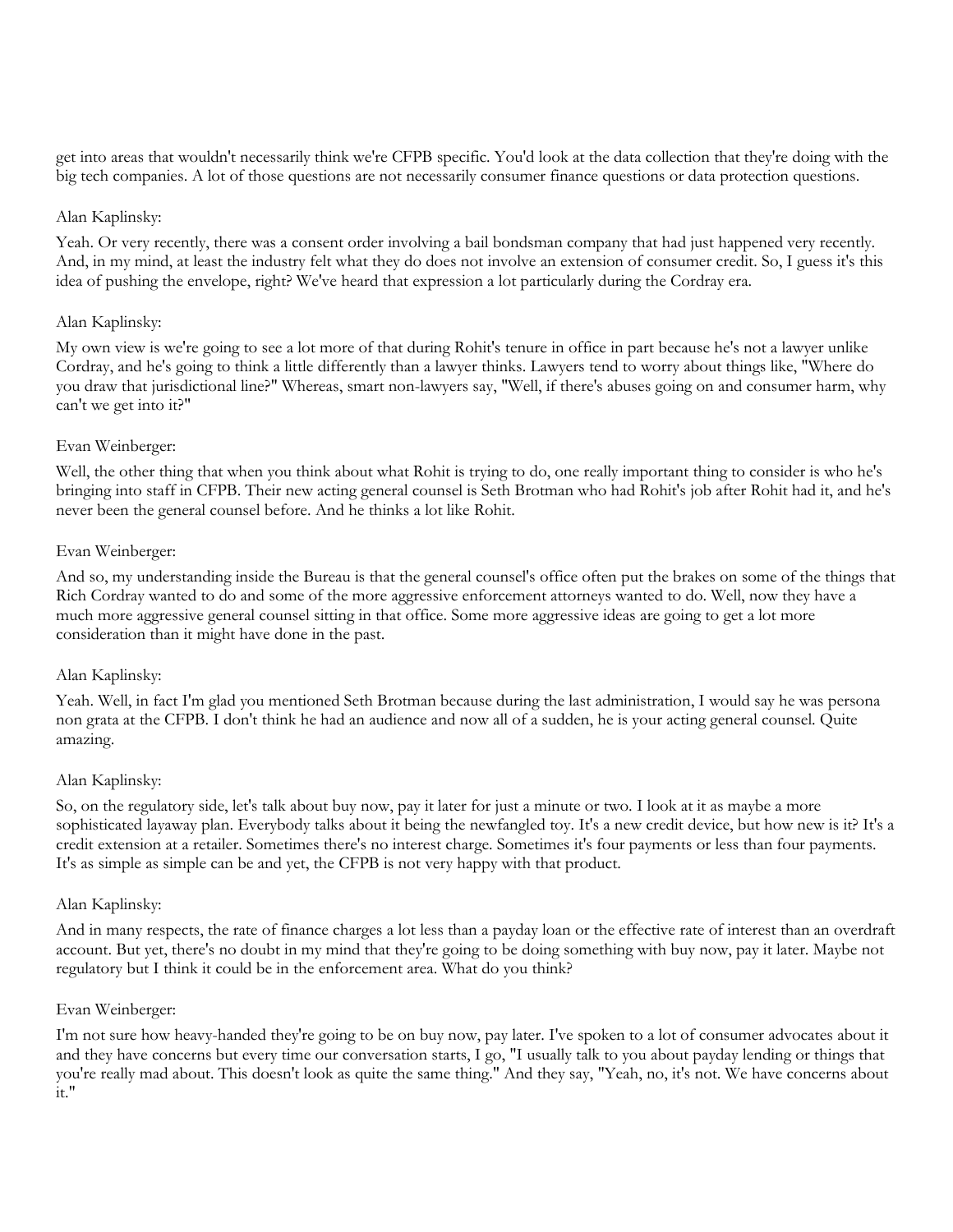get into areas that wouldn't necessarily think we're CFPB specific. You'd look at the data collection that they're doing with the big tech companies. A lot of those questions are not necessarily consumer finance questions or data protection questions.

#### Alan Kaplinsky:

Yeah. Or very recently, there was a consent order involving a bail bondsman company that had just happened very recently. And, in my mind, at least the industry felt what they do does not involve an extension of consumer credit. So, I guess it's this idea of pushing the envelope, right? We've heard that expression a lot particularly during the Cordray era.

## Alan Kaplinsky:

My own view is we're going to see a lot more of that during Rohit's tenure in office in part because he's not a lawyer unlike Cordray, and he's going to think a little differently than a lawyer thinks. Lawyers tend to worry about things like, "Where do you draw that jurisdictional line?" Whereas, smart non-lawyers say, "Well, if there's abuses going on and consumer harm, why can't we get into it?"

## Evan Weinberger:

Well, the other thing that when you think about what Rohit is trying to do, one really important thing to consider is who he's bringing into staff in CFPB. Their new acting general counsel is Seth Brotman who had Rohit's job after Rohit had it, and he's never been the general counsel before. And he thinks a lot like Rohit.

## Evan Weinberger:

And so, my understanding inside the Bureau is that the general counsel's office often put the brakes on some of the things that Rich Cordray wanted to do and some of the more aggressive enforcement attorneys wanted to do. Well, now they have a much more aggressive general counsel sitting in that office. Some more aggressive ideas are going to get a lot more consideration than it might have done in the past.

## Alan Kaplinsky:

Yeah. Well, in fact I'm glad you mentioned Seth Brotman because during the last administration, I would say he was persona non grata at the CFPB. I don't think he had an audience and now all of a sudden, he is your acting general counsel. Quite amazing.

#### Alan Kaplinsky:

So, on the regulatory side, let's talk about buy now, pay it later for just a minute or two. I look at it as maybe a more sophisticated layaway plan. Everybody talks about it being the newfangled toy. It's a new credit device, but how new is it? It's a credit extension at a retailer. Sometimes there's no interest charge. Sometimes it's four payments or less than four payments. It's as simple as simple can be and yet, the CFPB is not very happy with that product.

#### Alan Kaplinsky:

And in many respects, the rate of finance charges a lot less than a payday loan or the effective rate of interest than an overdraft account. But yet, there's no doubt in my mind that they're going to be doing something with buy now, pay it later. Maybe not regulatory but I think it could be in the enforcement area. What do you think?

#### Evan Weinberger:

I'm not sure how heavy-handed they're going to be on buy now, pay later. I've spoken to a lot of consumer advocates about it and they have concerns but every time our conversation starts, I go, "I usually talk to you about payday lending or things that you're really mad about. This doesn't look as quite the same thing." And they say, "Yeah, no, it's not. We have concerns about it."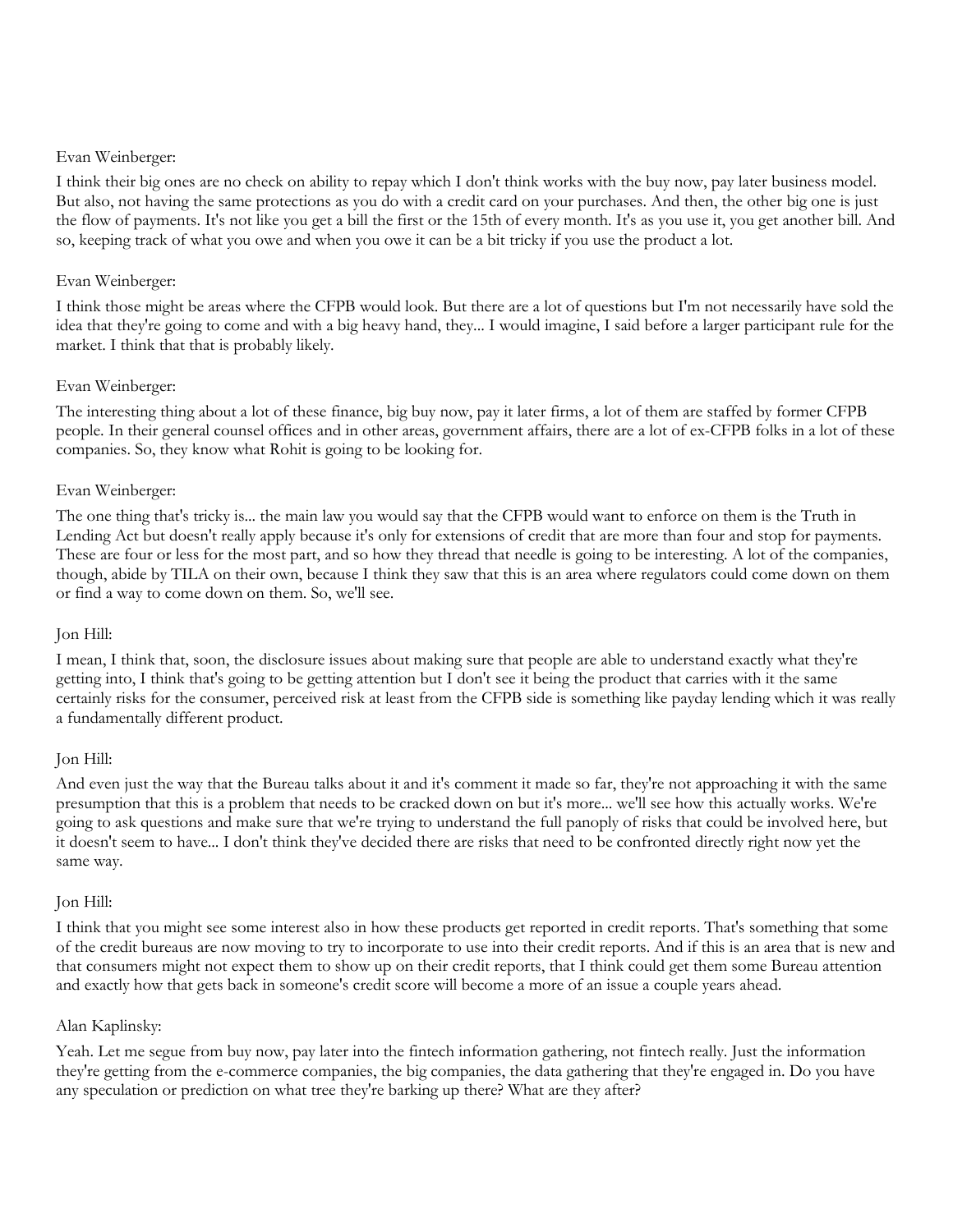I think their big ones are no check on ability to repay which I don't think works with the buy now, pay later business model. But also, not having the same protections as you do with a credit card on your purchases. And then, the other big one is just the flow of payments. It's not like you get a bill the first or the 15th of every month. It's as you use it, you get another bill. And so, keeping track of what you owe and when you owe it can be a bit tricky if you use the product a lot.

## Evan Weinberger:

I think those might be areas where the CFPB would look. But there are a lot of questions but I'm not necessarily have sold the idea that they're going to come and with a big heavy hand, they... I would imagine, I said before a larger participant rule for the market. I think that that is probably likely.

## Evan Weinberger:

The interesting thing about a lot of these finance, big buy now, pay it later firms, a lot of them are staffed by former CFPB people. In their general counsel offices and in other areas, government affairs, there are a lot of ex-CFPB folks in a lot of these companies. So, they know what Rohit is going to be looking for.

## Evan Weinberger:

The one thing that's tricky is... the main law you would say that the CFPB would want to enforce on them is the Truth in Lending Act but doesn't really apply because it's only for extensions of credit that are more than four and stop for payments. These are four or less for the most part, and so how they thread that needle is going to be interesting. A lot of the companies, though, abide by TILA on their own, because I think they saw that this is an area where regulators could come down on them or find a way to come down on them. So, we'll see.

## Jon Hill:

I mean, I think that, soon, the disclosure issues about making sure that people are able to understand exactly what they're getting into, I think that's going to be getting attention but I don't see it being the product that carries with it the same certainly risks for the consumer, perceived risk at least from the CFPB side is something like payday lending which it was really a fundamentally different product.

## Jon Hill:

And even just the way that the Bureau talks about it and it's comment it made so far, they're not approaching it with the same presumption that this is a problem that needs to be cracked down on but it's more... we'll see how this actually works. We're going to ask questions and make sure that we're trying to understand the full panoply of risks that could be involved here, but it doesn't seem to have... I don't think they've decided there are risks that need to be confronted directly right now yet the same way.

#### Jon Hill:

I think that you might see some interest also in how these products get reported in credit reports. That's something that some of the credit bureaus are now moving to try to incorporate to use into their credit reports. And if this is an area that is new and that consumers might not expect them to show up on their credit reports, that I think could get them some Bureau attention and exactly how that gets back in someone's credit score will become a more of an issue a couple years ahead.

#### Alan Kaplinsky:

Yeah. Let me segue from buy now, pay later into the fintech information gathering, not fintech really. Just the information they're getting from the e-commerce companies, the big companies, the data gathering that they're engaged in. Do you have any speculation or prediction on what tree they're barking up there? What are they after?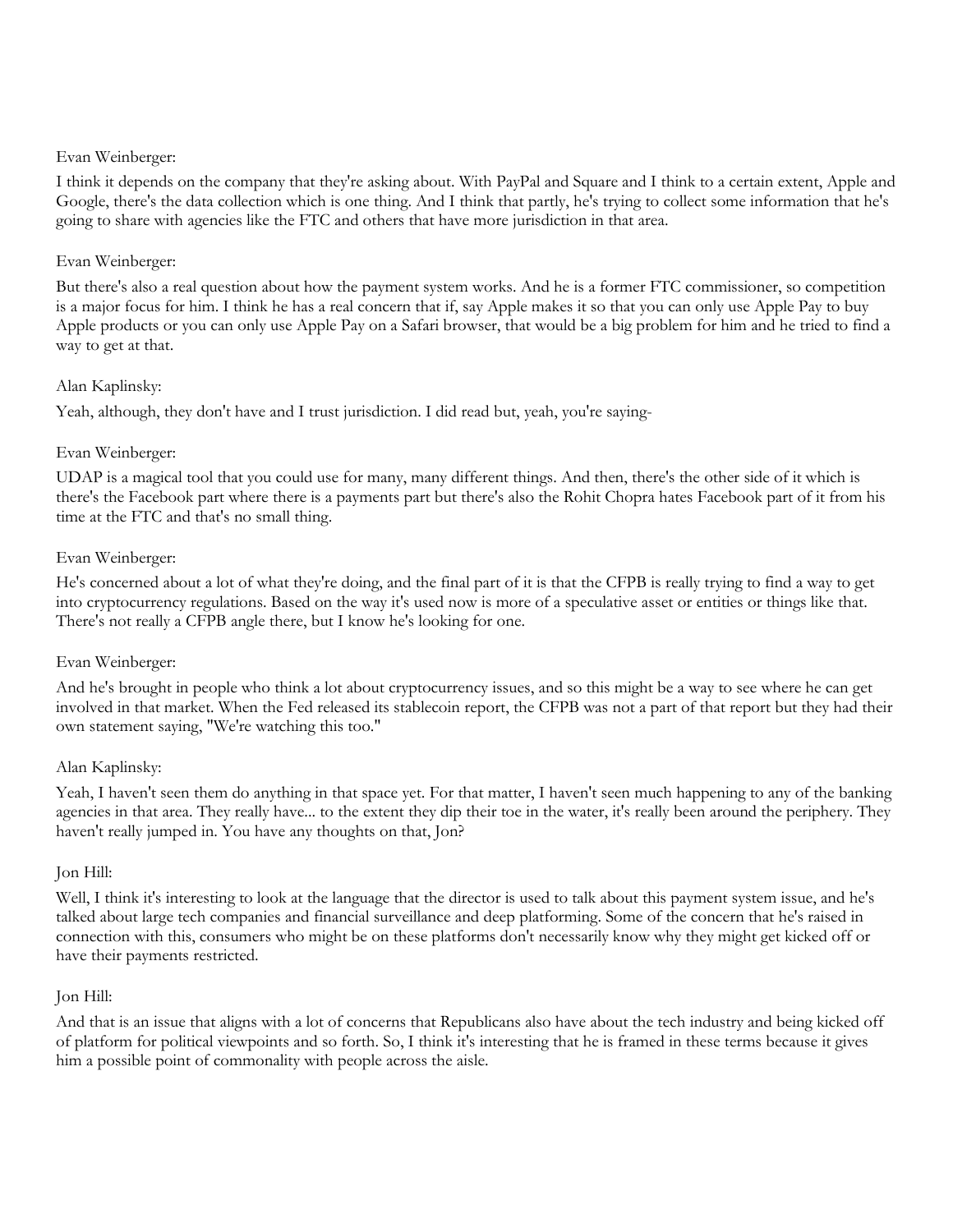I think it depends on the company that they're asking about. With PayPal and Square and I think to a certain extent, Apple and Google, there's the data collection which is one thing. And I think that partly, he's trying to collect some information that he's going to share with agencies like the FTC and others that have more jurisdiction in that area.

## Evan Weinberger:

But there's also a real question about how the payment system works. And he is a former FTC commissioner, so competition is a major focus for him. I think he has a real concern that if, say Apple makes it so that you can only use Apple Pay to buy Apple products or you can only use Apple Pay on a Safari browser, that would be a big problem for him and he tried to find a way to get at that.

## Alan Kaplinsky:

Yeah, although, they don't have and I trust jurisdiction. I did read but, yeah, you're saying-

## Evan Weinberger:

UDAP is a magical tool that you could use for many, many different things. And then, there's the other side of it which is there's the Facebook part where there is a payments part but there's also the Rohit Chopra hates Facebook part of it from his time at the FTC and that's no small thing.

## Evan Weinberger:

He's concerned about a lot of what they're doing, and the final part of it is that the CFPB is really trying to find a way to get into cryptocurrency regulations. Based on the way it's used now is more of a speculative asset or entities or things like that. There's not really a CFPB angle there, but I know he's looking for one.

#### Evan Weinberger:

And he's brought in people who think a lot about cryptocurrency issues, and so this might be a way to see where he can get involved in that market. When the Fed released its stablecoin report, the CFPB was not a part of that report but they had their own statement saying, "We're watching this too."

#### Alan Kaplinsky:

Yeah, I haven't seen them do anything in that space yet. For that matter, I haven't seen much happening to any of the banking agencies in that area. They really have... to the extent they dip their toe in the water, it's really been around the periphery. They haven't really jumped in. You have any thoughts on that, Jon?

#### Jon Hill:

Well, I think it's interesting to look at the language that the director is used to talk about this payment system issue, and he's talked about large tech companies and financial surveillance and deep platforming. Some of the concern that he's raised in connection with this, consumers who might be on these platforms don't necessarily know why they might get kicked off or have their payments restricted.

#### Jon Hill:

And that is an issue that aligns with a lot of concerns that Republicans also have about the tech industry and being kicked off of platform for political viewpoints and so forth. So, I think it's interesting that he is framed in these terms because it gives him a possible point of commonality with people across the aisle.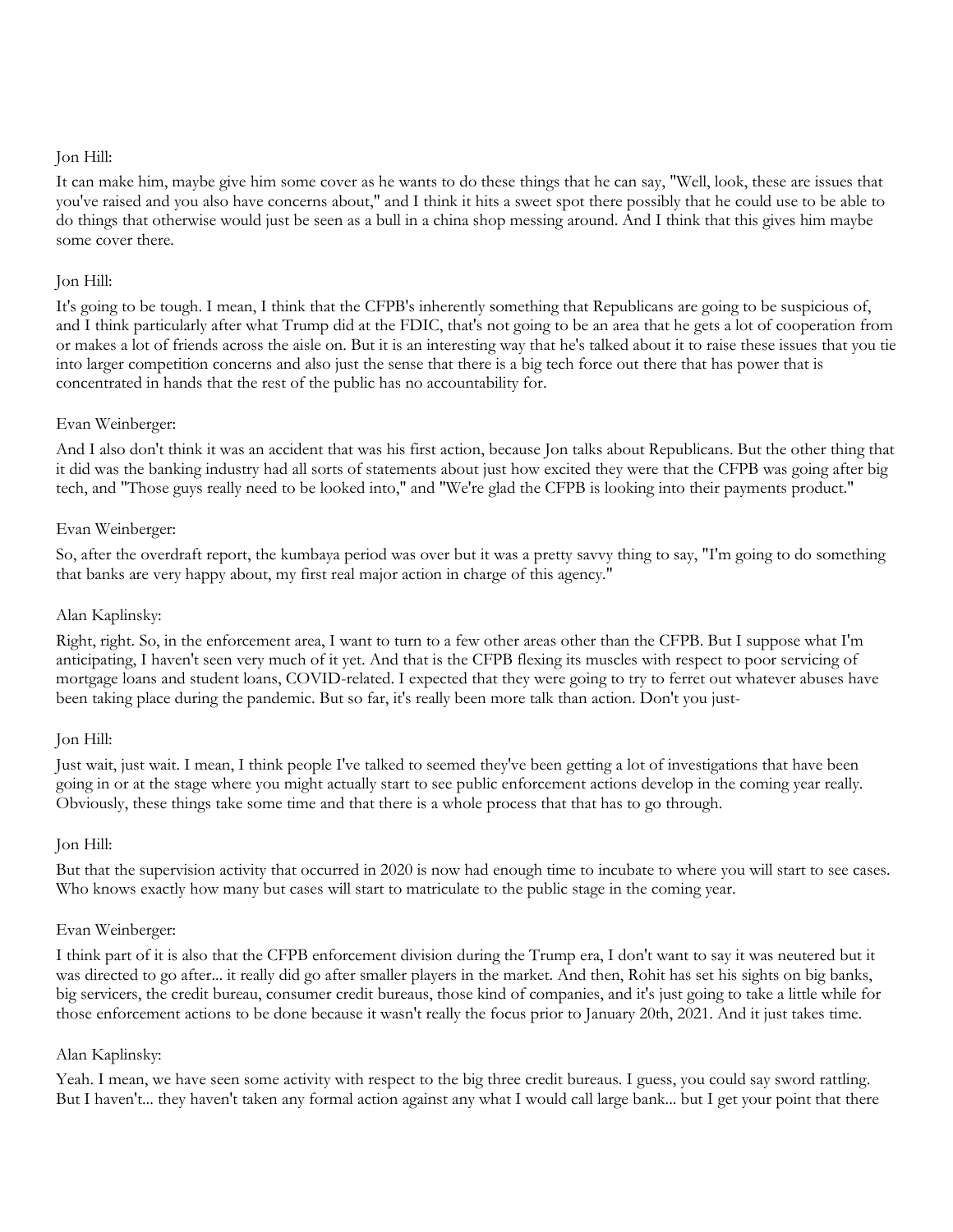It can make him, maybe give him some cover as he wants to do these things that he can say, "Well, look, these are issues that you've raised and you also have concerns about," and I think it hits a sweet spot there possibly that he could use to be able to do things that otherwise would just be seen as a bull in a china shop messing around. And I think that this gives him maybe some cover there.

## Jon Hill:

It's going to be tough. I mean, I think that the CFPB's inherently something that Republicans are going to be suspicious of, and I think particularly after what Trump did at the FDIC, that's not going to be an area that he gets a lot of cooperation from or makes a lot of friends across the aisle on. But it is an interesting way that he's talked about it to raise these issues that you tie into larger competition concerns and also just the sense that there is a big tech force out there that has power that is concentrated in hands that the rest of the public has no accountability for.

## Evan Weinberger:

And I also don't think it was an accident that was his first action, because Jon talks about Republicans. But the other thing that it did was the banking industry had all sorts of statements about just how excited they were that the CFPB was going after big tech, and "Those guys really need to be looked into," and "We're glad the CFPB is looking into their payments product."

## Evan Weinberger:

So, after the overdraft report, the kumbaya period was over but it was a pretty savvy thing to say, "I'm going to do something that banks are very happy about, my first real major action in charge of this agency."

#### Alan Kaplinsky:

Right, right. So, in the enforcement area, I want to turn to a few other areas other than the CFPB. But I suppose what I'm anticipating, I haven't seen very much of it yet. And that is the CFPB flexing its muscles with respect to poor servicing of mortgage loans and student loans, COVID-related. I expected that they were going to try to ferret out whatever abuses have been taking place during the pandemic. But so far, it's really been more talk than action. Don't you just-

#### Jon Hill:

Just wait, just wait. I mean, I think people I've talked to seemed they've been getting a lot of investigations that have been going in or at the stage where you might actually start to see public enforcement actions develop in the coming year really. Obviously, these things take some time and that there is a whole process that that has to go through.

#### Jon Hill:

But that the supervision activity that occurred in 2020 is now had enough time to incubate to where you will start to see cases. Who knows exactly how many but cases will start to matriculate to the public stage in the coming year.

#### Evan Weinberger:

I think part of it is also that the CFPB enforcement division during the Trump era, I don't want to say it was neutered but it was directed to go after... it really did go after smaller players in the market. And then, Rohit has set his sights on big banks, big servicers, the credit bureau, consumer credit bureaus, those kind of companies, and it's just going to take a little while for those enforcement actions to be done because it wasn't really the focus prior to January 20th, 2021. And it just takes time.

## Alan Kaplinsky:

Yeah. I mean, we have seen some activity with respect to the big three credit bureaus. I guess, you could say sword rattling. But I haven't... they haven't taken any formal action against any what I would call large bank... but I get your point that there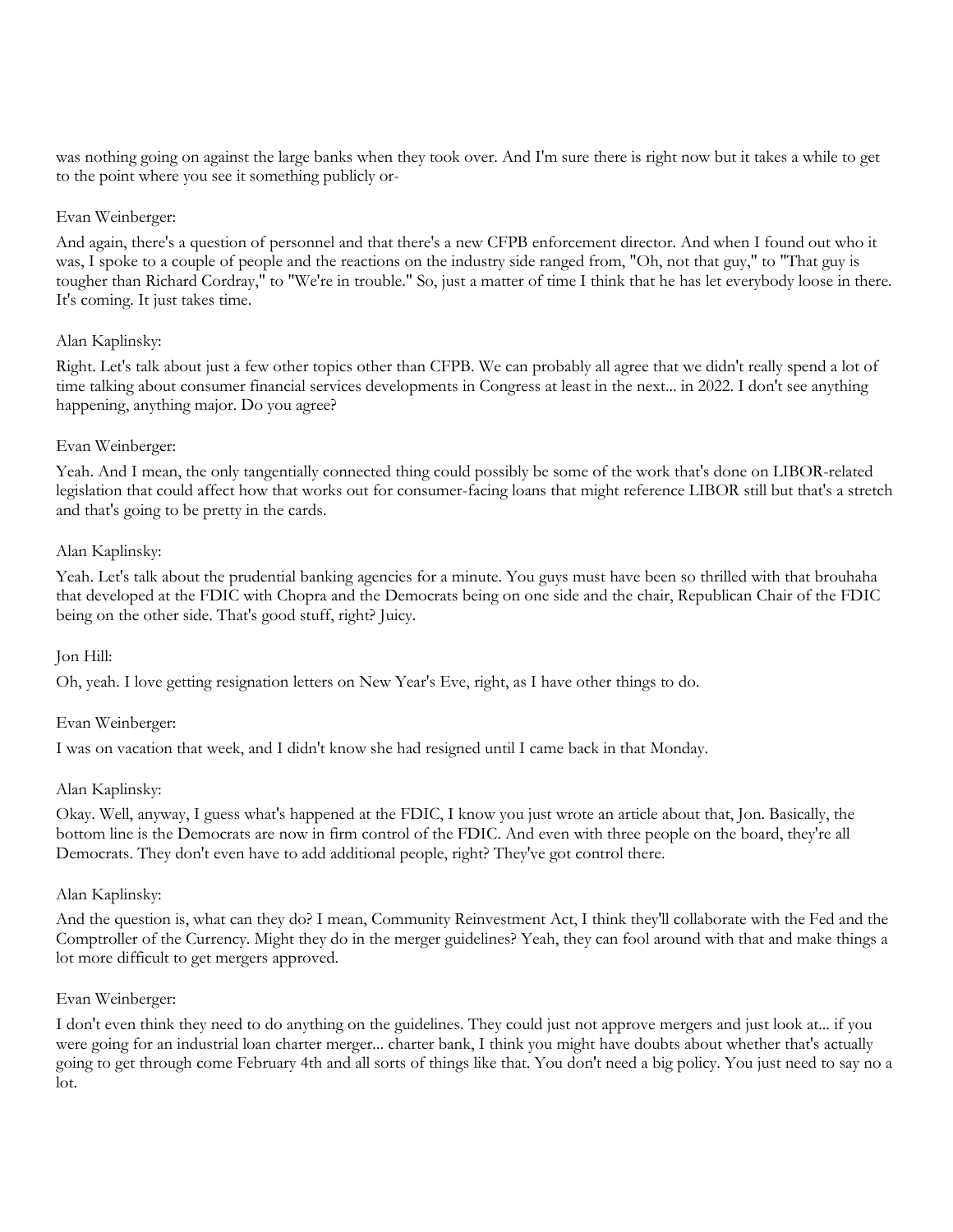was nothing going on against the large banks when they took over. And I'm sure there is right now but it takes a while to get to the point where you see it something publicly or-

## Evan Weinberger:

And again, there's a question of personnel and that there's a new CFPB enforcement director. And when I found out who it was, I spoke to a couple of people and the reactions on the industry side ranged from, "Oh, not that guy," to "That guy is tougher than Richard Cordray," to "We're in trouble." So, just a matter of time I think that he has let everybody loose in there. It's coming. It just takes time.

## Alan Kaplinsky:

Right. Let's talk about just a few other topics other than CFPB. We can probably all agree that we didn't really spend a lot of time talking about consumer financial services developments in Congress at least in the next... in 2022. I don't see anything happening, anything major. Do you agree?

## Evan Weinberger:

Yeah. And I mean, the only tangentially connected thing could possibly be some of the work that's done on LIBOR-related legislation that could affect how that works out for consumer-facing loans that might reference LIBOR still but that's a stretch and that's going to be pretty in the cards.

## Alan Kaplinsky:

Yeah. Let's talk about the prudential banking agencies for a minute. You guys must have been so thrilled with that brouhaha that developed at the FDIC with Chopra and the Democrats being on one side and the chair, Republican Chair of the FDIC being on the other side. That's good stuff, right? Juicy.

## Jon Hill:

Oh, yeah. I love getting resignation letters on New Year's Eve, right, as I have other things to do.

#### Evan Weinberger:

I was on vacation that week, and I didn't know she had resigned until I came back in that Monday.

## Alan Kaplinsky:

Okay. Well, anyway, I guess what's happened at the FDIC, I know you just wrote an article about that, Jon. Basically, the bottom line is the Democrats are now in firm control of the FDIC. And even with three people on the board, they're all Democrats. They don't even have to add additional people, right? They've got control there.

## Alan Kaplinsky:

And the question is, what can they do? I mean, Community Reinvestment Act, I think they'll collaborate with the Fed and the Comptroller of the Currency. Might they do in the merger guidelines? Yeah, they can fool around with that and make things a lot more difficult to get mergers approved.

#### Evan Weinberger:

I don't even think they need to do anything on the guidelines. They could just not approve mergers and just look at... if you were going for an industrial loan charter merger... charter bank, I think you might have doubts about whether that's actually going to get through come February 4th and all sorts of things like that. You don't need a big policy. You just need to say no a lot.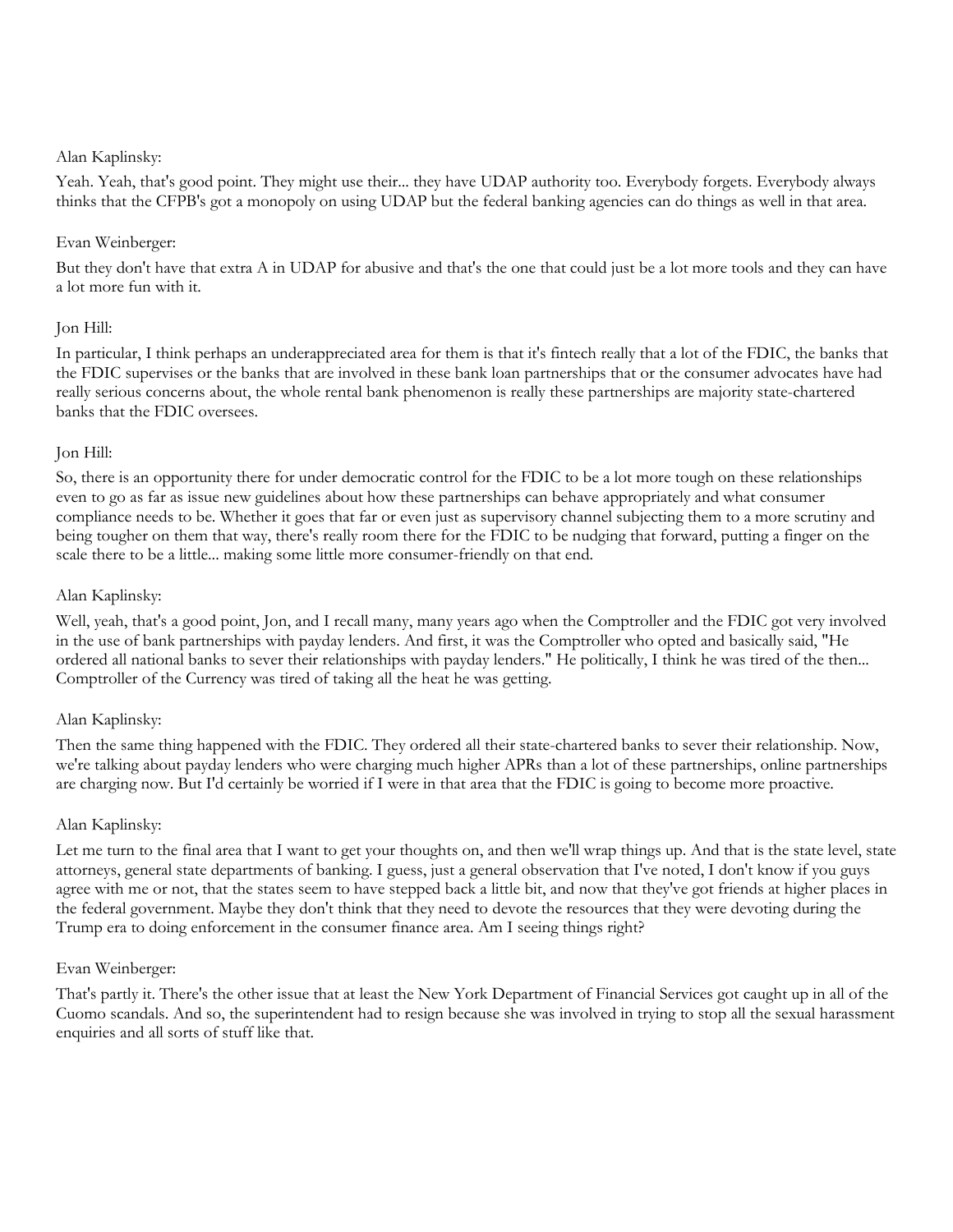## Alan Kaplinsky:

Yeah. Yeah, that's good point. They might use their... they have UDAP authority too. Everybody forgets. Everybody always thinks that the CFPB's got a monopoly on using UDAP but the federal banking agencies can do things as well in that area.

## Evan Weinberger:

But they don't have that extra A in UDAP for abusive and that's the one that could just be a lot more tools and they can have a lot more fun with it.

## Jon Hill:

In particular, I think perhaps an underappreciated area for them is that it's fintech really that a lot of the FDIC, the banks that the FDIC supervises or the banks that are involved in these bank loan partnerships that or the consumer advocates have had really serious concerns about, the whole rental bank phenomenon is really these partnerships are majority state-chartered banks that the FDIC oversees.

## Jon Hill:

So, there is an opportunity there for under democratic control for the FDIC to be a lot more tough on these relationships even to go as far as issue new guidelines about how these partnerships can behave appropriately and what consumer compliance needs to be. Whether it goes that far or even just as supervisory channel subjecting them to a more scrutiny and being tougher on them that way, there's really room there for the FDIC to be nudging that forward, putting a finger on the scale there to be a little... making some little more consumer-friendly on that end.

## Alan Kaplinsky:

Well, yeah, that's a good point, Jon, and I recall many, many years ago when the Comptroller and the FDIC got very involved in the use of bank partnerships with payday lenders. And first, it was the Comptroller who opted and basically said, "He ordered all national banks to sever their relationships with payday lenders." He politically, I think he was tired of the then... Comptroller of the Currency was tired of taking all the heat he was getting.

## Alan Kaplinsky:

Then the same thing happened with the FDIC. They ordered all their state-chartered banks to sever their relationship. Now, we're talking about payday lenders who were charging much higher APRs than a lot of these partnerships, online partnerships are charging now. But I'd certainly be worried if I were in that area that the FDIC is going to become more proactive.

## Alan Kaplinsky:

Let me turn to the final area that I want to get your thoughts on, and then we'll wrap things up. And that is the state level, state attorneys, general state departments of banking. I guess, just a general observation that I've noted, I don't know if you guys agree with me or not, that the states seem to have stepped back a little bit, and now that they've got friends at higher places in the federal government. Maybe they don't think that they need to devote the resources that they were devoting during the Trump era to doing enforcement in the consumer finance area. Am I seeing things right?

#### Evan Weinberger:

That's partly it. There's the other issue that at least the New York Department of Financial Services got caught up in all of the Cuomo scandals. And so, the superintendent had to resign because she was involved in trying to stop all the sexual harassment enquiries and all sorts of stuff like that.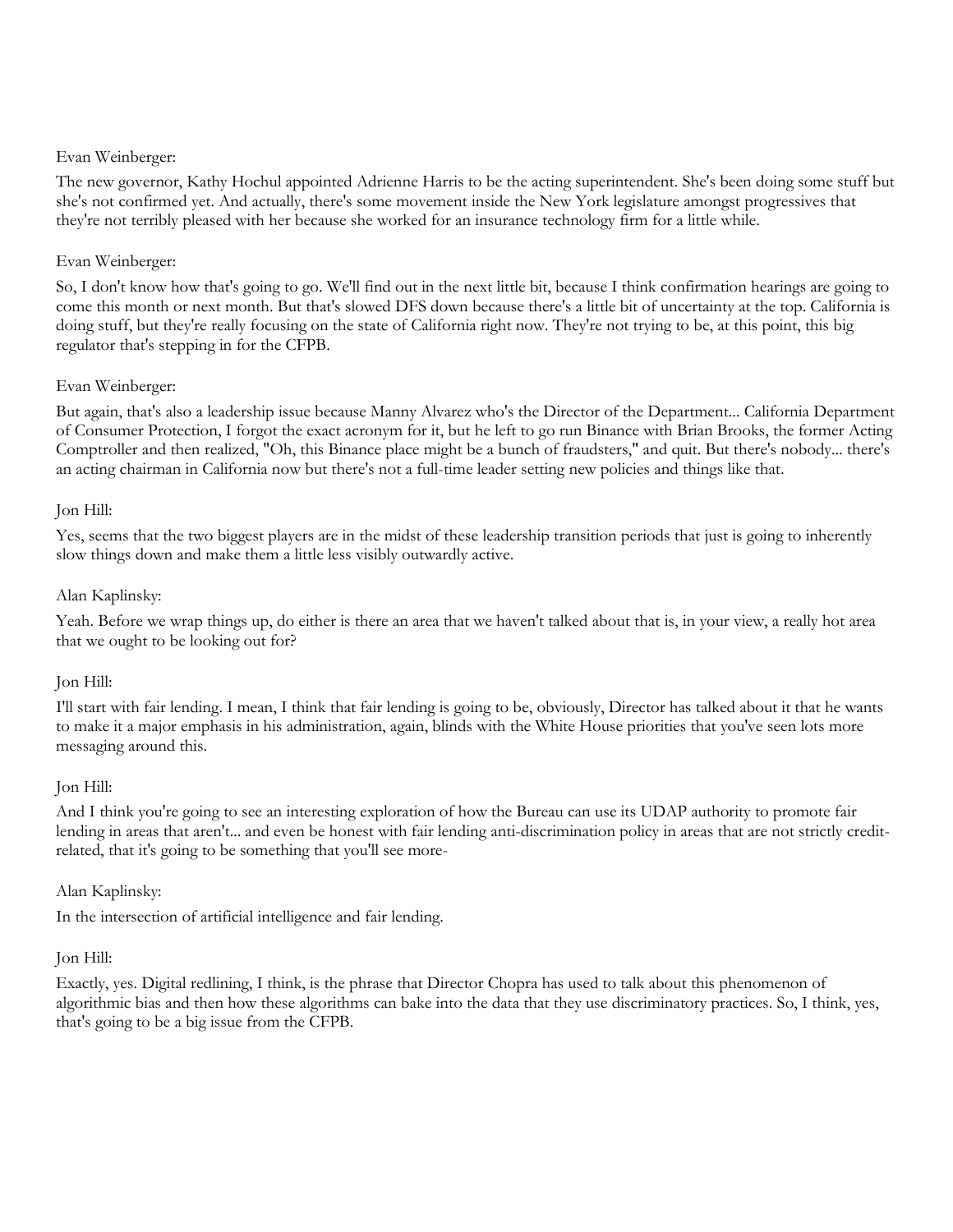The new governor, Kathy Hochul appointed Adrienne Harris to be the acting superintendent. She's been doing some stuff but she's not confirmed yet. And actually, there's some movement inside the New York legislature amongst progressives that they're not terribly pleased with her because she worked for an insurance technology firm for a little while.

## Evan Weinberger:

So, I don't know how that's going to go. We'll find out in the next little bit, because I think confirmation hearings are going to come this month or next month. But that's slowed DFS down because there's a little bit of uncertainty at the top. California is doing stuff, but they're really focusing on the state of California right now. They're not trying to be, at this point, this big regulator that's stepping in for the CFPB.

## Evan Weinberger:

But again, that's also a leadership issue because Manny Alvarez who's the Director of the Department... California Department of Consumer Protection, I forgot the exact acronym for it, but he left to go run Binance with Brian Brooks, the former Acting Comptroller and then realized, "Oh, this Binance place might be a bunch of fraudsters," and quit. But there's nobody... there's an acting chairman in California now but there's not a full-time leader setting new policies and things like that.

## Jon Hill:

Yes, seems that the two biggest players are in the midst of these leadership transition periods that just is going to inherently slow things down and make them a little less visibly outwardly active.

## Alan Kaplinsky:

Yeah. Before we wrap things up, do either is there an area that we haven't talked about that is, in your view, a really hot area that we ought to be looking out for?

#### Jon Hill:

I'll start with fair lending. I mean, I think that fair lending is going to be, obviously, Director has talked about it that he wants to make it a major emphasis in his administration, again, blinds with the White House priorities that you've seen lots more messaging around this.

#### Jon Hill:

And I think you're going to see an interesting exploration of how the Bureau can use its UDAP authority to promote fair lending in areas that aren't... and even be honest with fair lending anti-discrimination policy in areas that are not strictly creditrelated, that it's going to be something that you'll see more-

#### Alan Kaplinsky:

In the intersection of artificial intelligence and fair lending.

## Jon Hill:

Exactly, yes. Digital redlining, I think, is the phrase that Director Chopra has used to talk about this phenomenon of algorithmic bias and then how these algorithms can bake into the data that they use discriminatory practices. So, I think, yes, that's going to be a big issue from the CFPB.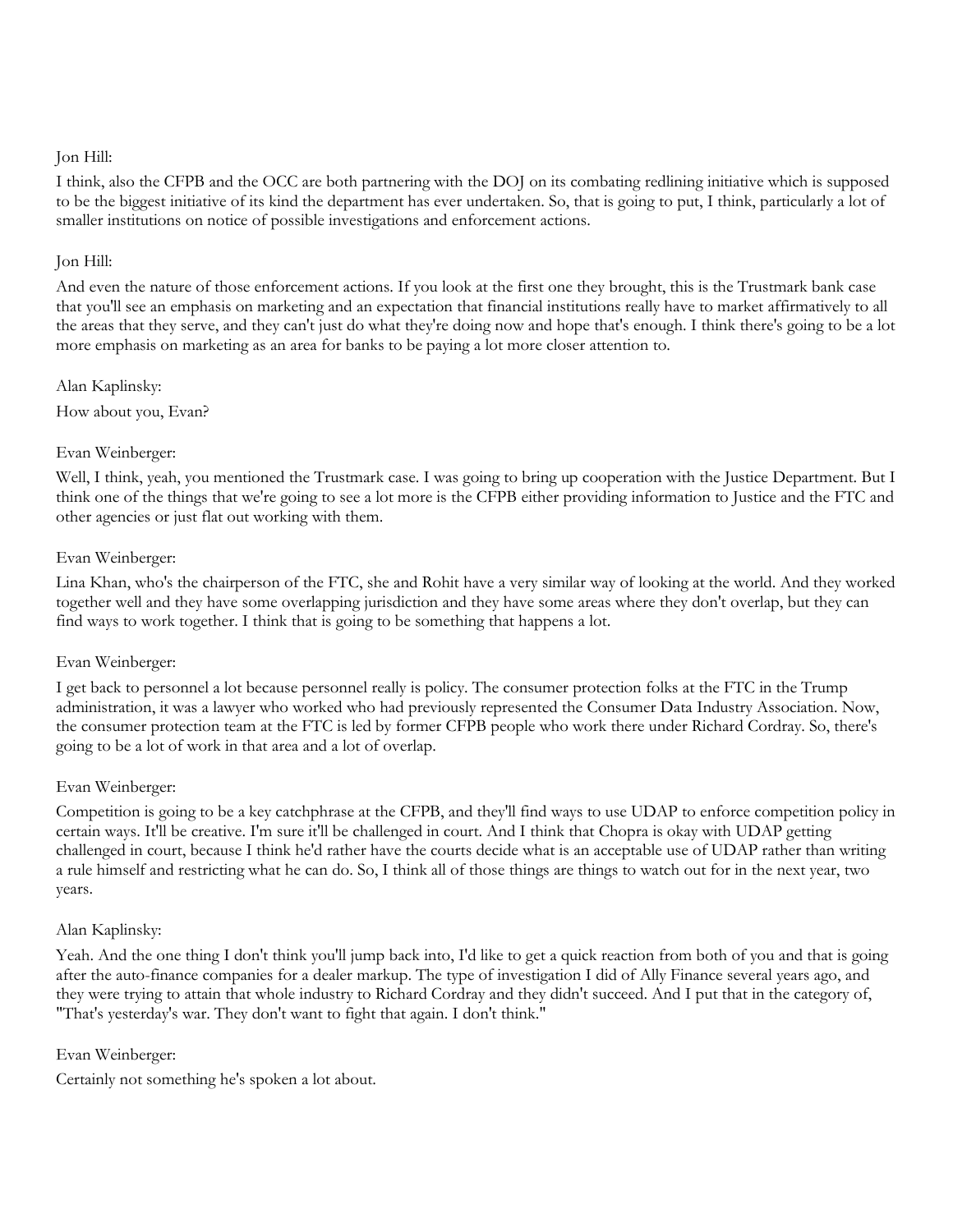I think, also the CFPB and the OCC are both partnering with the DOJ on its combating redlining initiative which is supposed to be the biggest initiative of its kind the department has ever undertaken. So, that is going to put, I think, particularly a lot of smaller institutions on notice of possible investigations and enforcement actions.

## Jon Hill:

And even the nature of those enforcement actions. If you look at the first one they brought, this is the Trustmark bank case that you'll see an emphasis on marketing and an expectation that financial institutions really have to market affirmatively to all the areas that they serve, and they can't just do what they're doing now and hope that's enough. I think there's going to be a lot more emphasis on marketing as an area for banks to be paying a lot more closer attention to.

Alan Kaplinsky: How about you, Evan?

## Evan Weinberger:

Well, I think, yeah, you mentioned the Trustmark case. I was going to bring up cooperation with the Justice Department. But I think one of the things that we're going to see a lot more is the CFPB either providing information to Justice and the FTC and other agencies or just flat out working with them.

## Evan Weinberger:

Lina Khan, who's the chairperson of the FTC, she and Rohit have a very similar way of looking at the world. And they worked together well and they have some overlapping jurisdiction and they have some areas where they don't overlap, but they can find ways to work together. I think that is going to be something that happens a lot.

#### Evan Weinberger:

I get back to personnel a lot because personnel really is policy. The consumer protection folks at the FTC in the Trump administration, it was a lawyer who worked who had previously represented the Consumer Data Industry Association. Now, the consumer protection team at the FTC is led by former CFPB people who work there under Richard Cordray. So, there's going to be a lot of work in that area and a lot of overlap.

#### Evan Weinberger:

Competition is going to be a key catchphrase at the CFPB, and they'll find ways to use UDAP to enforce competition policy in certain ways. It'll be creative. I'm sure it'll be challenged in court. And I think that Chopra is okay with UDAP getting challenged in court, because I think he'd rather have the courts decide what is an acceptable use of UDAP rather than writing a rule himself and restricting what he can do. So, I think all of those things are things to watch out for in the next year, two years.

#### Alan Kaplinsky:

Yeah. And the one thing I don't think you'll jump back into, I'd like to get a quick reaction from both of you and that is going after the auto-finance companies for a dealer markup. The type of investigation I did of Ally Finance several years ago, and they were trying to attain that whole industry to Richard Cordray and they didn't succeed. And I put that in the category of, "That's yesterday's war. They don't want to fight that again. I don't think."

## Evan Weinberger:

Certainly not something he's spoken a lot about.